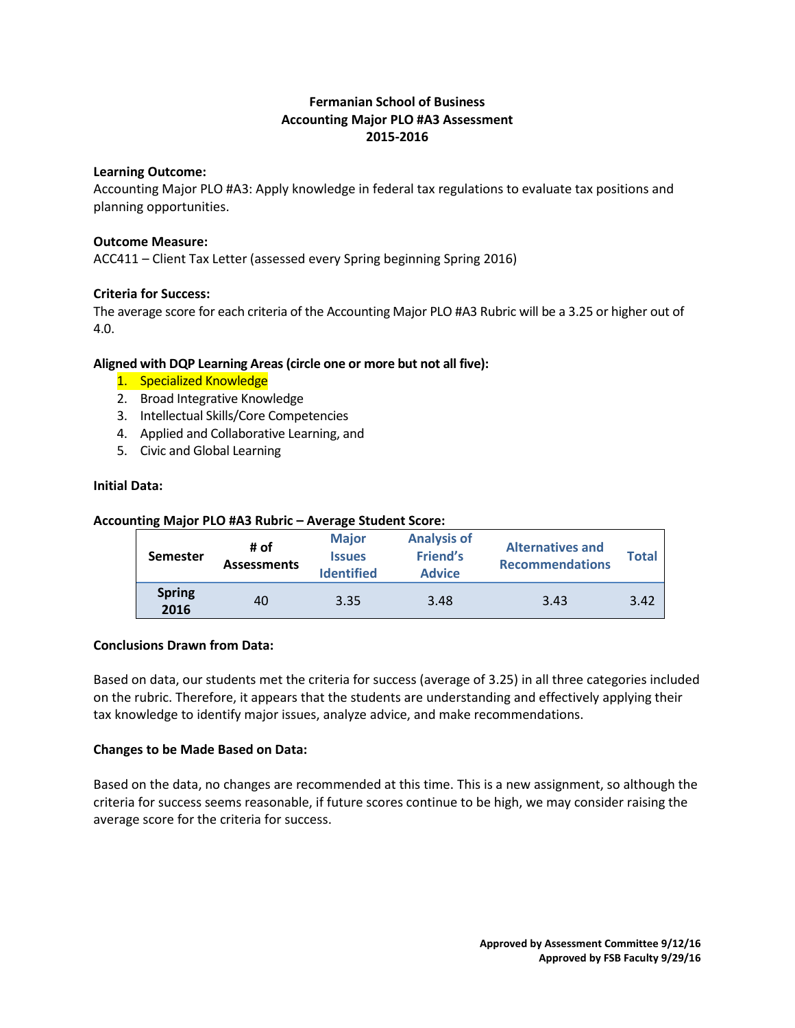# **Fermanian School of Business Accounting Major PLO #A3 Assessment 2015-2016**

## **Learning Outcome:**

Accounting Major PLO #A3: Apply knowledge in federal tax regulations to evaluate tax positions and planning opportunities.

## **Outcome Measure:**

ACC411 – Client Tax Letter (assessed every Spring beginning Spring 2016)

## **Criteria for Success:**

The average score for each criteria of the Accounting Major PLO #A3 Rubric will be a 3.25 or higher out of 4.0.

## **Aligned with DQP Learning Areas (circle one or more but not all five):**

- 1. Specialized Knowledge
- 2. Broad Integrative Knowledge
- 3. Intellectual Skills/Core Competencies
- 4. Applied and Collaborative Learning, and
- 5. Civic and Global Learning

## **Initial Data:**

## **Accounting Major PLO #A3 Rubric – Average Student Score:**

|  | <b>Semester</b>       | # of<br><b>Assessments</b> | <b>Major</b><br><b>Issues</b><br><b>Identified</b> | <b>Analysis of</b><br><b>Friend's</b><br><b>Advice</b> | <b>Alternatives and</b><br><b>Recommendations</b> | <b>Total</b> |
|--|-----------------------|----------------------------|----------------------------------------------------|--------------------------------------------------------|---------------------------------------------------|--------------|
|  | <b>Spring</b><br>2016 | 40                         | 3.35                                               | 3.48                                                   | 3.43                                              | 3.42         |

#### **Conclusions Drawn from Data:**

Based on data, our students met the criteria for success (average of 3.25) in all three categories included on the rubric. Therefore, it appears that the students are understanding and effectively applying their tax knowledge to identify major issues, analyze advice, and make recommendations.

#### **Changes to be Made Based on Data:**

Based on the data, no changes are recommended at this time. This is a new assignment, so although the criteria for success seems reasonable, if future scores continue to be high, we may consider raising the average score for the criteria for success.